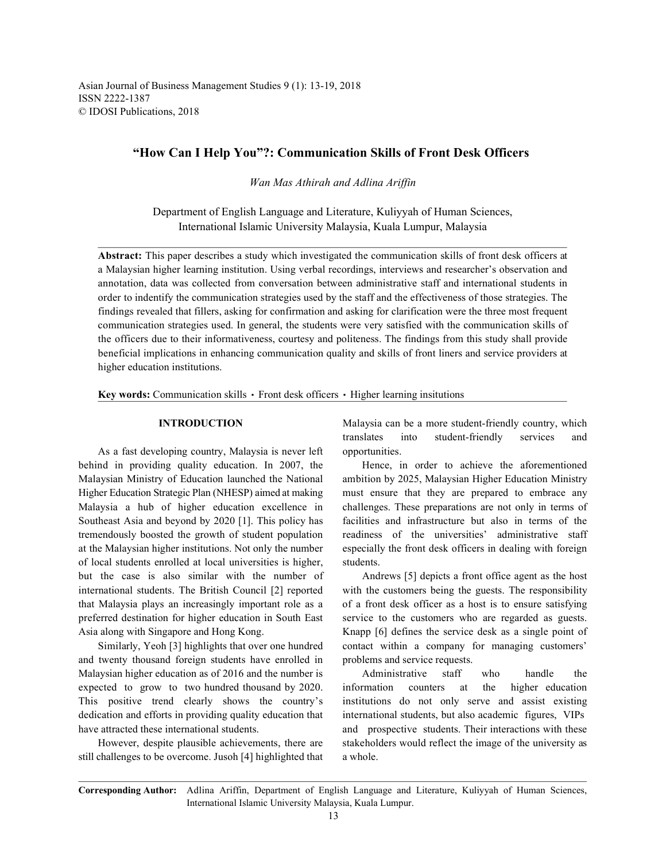# **"How Can I Help You"?: Communication Skills of Front Desk Officers**

*Wan Mas Athirah and Adlina Ariffin*

Department of English Language and Literature, Kuliyyah of Human Sciences, International Islamic University Malaysia, Kuala Lumpur, Malaysia

**Abstract:** This paper describes a study which investigated the communication skills of front desk officers at a Malaysian higher learning institution. Using verbal recordings, interviews and researcher's observation and annotation, data was collected from conversation between administrative staff and international students in order to indentify the communication strategies used by the staff and the effectiveness of those strategies. The findings revealed that fillers, asking for confirmation and asking for clarification were the three most frequent communication strategies used. In general, the students were very satisfied with the communication skills of the officers due to their informativeness, courtesy and politeness. The findings from this study shall provide beneficial implications in enhancing communication quality and skills of front liners and service providers at higher education institutions.

Key words: Communication skills · Front desk officers · Higher learning insitutions

As a fast developing country, Malaysia is never left opportunities. behind in providing quality education. In 2007, the Hence, in order to achieve the aforementioned Malaysian Ministry of Education launched the National ambition by 2025, Malaysian Higher Education Ministry Higher Education Strategic Plan (NHESP) aimed at making must ensure that they are prepared to embrace any Malaysia a hub of higher education excellence in challenges. These preparations are not only in terms of Southeast Asia and beyond by 2020 [1]. This policy has facilities and infrastructure but also in terms of the tremendously boosted the growth of student population readiness of the universities' administrative staff at the Malaysian higher institutions. Not only the number especially the front desk officers in dealing with foreign of local students enrolled at local universities is higher, students. but the case is also similar with the number of Andrews [5] depicts a front office agent as the host international students. The British Council [2] reported with the customers being the guests. The responsibility that Malaysia plays an increasingly important role as a of a front desk officer as a host is to ensure satisfying preferred destination for higher education in South East service to the customers who are regarded as guests. Asia along with Singapore and Hong Kong. Knapp [6] defines the service desk as a single point of

and twenty thousand foreign students have enrolled in problems and service requests. Malaysian higher education as of 2016 and the number is Administrative staff who handle the expected to grow to two hundred thousand by 2020. information counters at the higher education This positive trend clearly shows the country's institutions do not only serve and assist existing dedication and efforts in providing quality education that international students, but also academic figures, VIPs have attracted these international students. and prospective students. Their interactions with these

still challenges to be overcome. Jusoh [4] highlighted that a whole.

**INTRODUCTION** Malaysia can be a more student-friendly country, which translates into student-friendly services and

Similarly, Yeoh [3] highlights that over one hundred contact within a company for managing customers'

However, despite plausible achievements, there are stakeholders would reflect the image of the university as

**Corresponding Author:** Adlina Ariffin, Department of English Language and Literature, Kuliyyah of Human Sciences, International Islamic University Malaysia, Kuala Lumpur.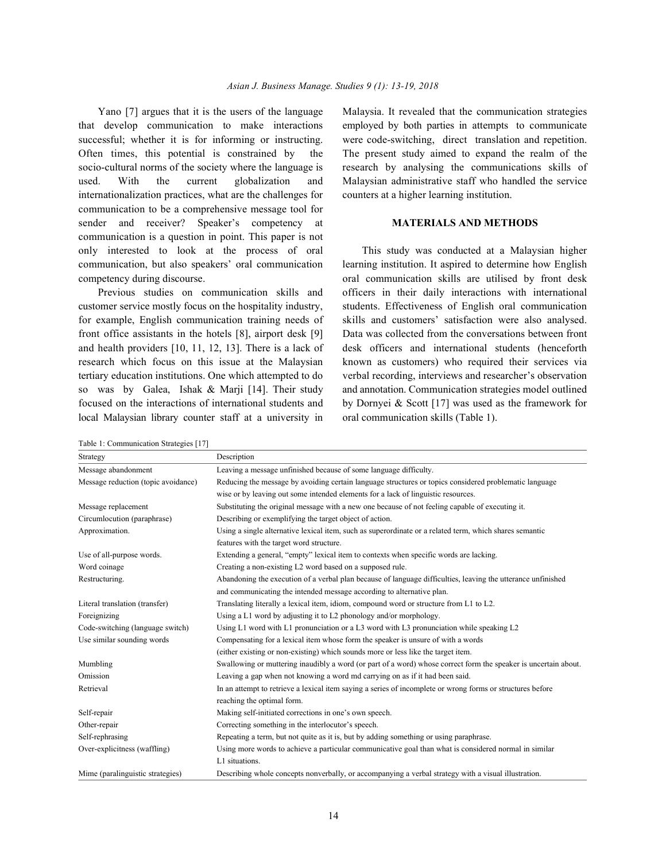that develop communication to make interactions employed by both parties in attempts to communicate successful; whether it is for informing or instructing. were code-switching, direct translation and repetition. Often times, this potential is constrained by the The present study aimed to expand the realm of the socio-cultural norms of the society where the language is research by analysing the communications skills of used. With the current globalization and Malaysian administrative staff who handled the service internationalization practices, what are the challenges for counters at a higher learning institution. communication to be a comprehensive message tool for sender and receiver? Speaker's competency at **MATERIALS AND METHODS** communication is a question in point. This paper is not only interested to look at the process of oral This study was conducted at a Malaysian higher communication, but also speakers' oral communication learning institution. It aspired to determine how English competency during discourse. oral communication skills are utilised by front desk

customer service mostly focus on the hospitality industry, students. Effectiveness of English oral communication for example, English communication training needs of skills and customers' satisfaction were also analysed. front office assistants in the hotels [8], airport desk [9] Data was collected from the conversations between front and health providers [10, 11, 12, 13]. There is a lack of desk officers and international students (henceforth research which focus on this issue at the Malaysian known as customers) who required their services via tertiary education institutions. One which attempted to do verbal recording, interviews and researcher's observation so was by Galea, Ishak & Marji [14]. Their study and annotation. Communication strategies model outlined focused on the interactions of international students and by Dornyei & Scott [17] was used as the framework for local Malaysian library counter staff at a university in oral communication skills (Table 1).

Yano [7] argues that it is the users of the language Malaysia. It revealed that the communication strategies

Previous studies on communication skills and officers in their daily interactions with international

| Strategy                            | Description                                                                                                                              |
|-------------------------------------|------------------------------------------------------------------------------------------------------------------------------------------|
| Message abandonment                 | Leaving a message unfinished because of some language difficulty.                                                                        |
| Message reduction (topic avoidance) | Reducing the message by avoiding certain language structures or topics considered problematic language                                   |
|                                     | wise or by leaving out some intended elements for a lack of linguistic resources.                                                        |
| Message replacement                 | Substituting the original message with a new one because of not feeling capable of executing it.                                         |
| Circumlocution (paraphrase)         | Describing or exemplifying the target object of action.                                                                                  |
| Approximation.                      | Using a single alternative lexical item, such as superordinate or a related term, which shares semantic                                  |
|                                     | features with the target word structure.                                                                                                 |
| Use of all-purpose words.           | Extending a general, "empty" lexical item to contexts when specific words are lacking.                                                   |
| Word coinage                        | Creating a non-existing L2 word based on a supposed rule.                                                                                |
| Restructuring.                      | Abandoning the execution of a verbal plan because of language difficulties, leaving the utterance unfinished                             |
|                                     | and communicating the intended message according to alternative plan.                                                                    |
| Literal translation (transfer)      | Translating literally a lexical item, idiom, compound word or structure from L1 to L2.                                                   |
| Foreignizing                        | Using a L1 word by adjusting it to L2 phonology and/or morphology.                                                                       |
| Code-switching (language switch)    | Using L1 word with L1 pronunciation or a L3 word with L3 pronunciation while speaking L2                                                 |
| Use similar sounding words          | Compensating for a lexical item whose form the speaker is unsure of with a words                                                         |
|                                     | (either existing or non-existing) which sounds more or less like the target item.                                                        |
| Mumbling                            | Swallowing or muttering inaudibly a word (or part of a word) whose correct form the speaker is uncertain about.                          |
| Omission                            | Leaving a gap when not knowing a word md carrying on as if it had been said.                                                             |
| Retrieval                           | In an attempt to retrieve a lexical item saying a series of incomplete or wrong forms or structures before<br>reaching the optimal form. |
| Self-repair                         | Making self-initiated corrections in one's own speech.                                                                                   |
| Other-repair                        | Correcting something in the interlocutor's speech.                                                                                       |
| Self-rephrasing                     | Repeating a term, but not quite as it is, but by adding something or using paraphrase.                                                   |
| Over-explicitness (waffling)        | Using more words to achieve a particular communicative goal than what is considered normal in similar                                    |
|                                     | L1 situations.                                                                                                                           |
| Mime (paralinguistic strategies)    | Describing whole concepts nonverbally, or accompanying a verbal strategy with a visual illustration.                                     |

Table 1: Communication Strategies [17]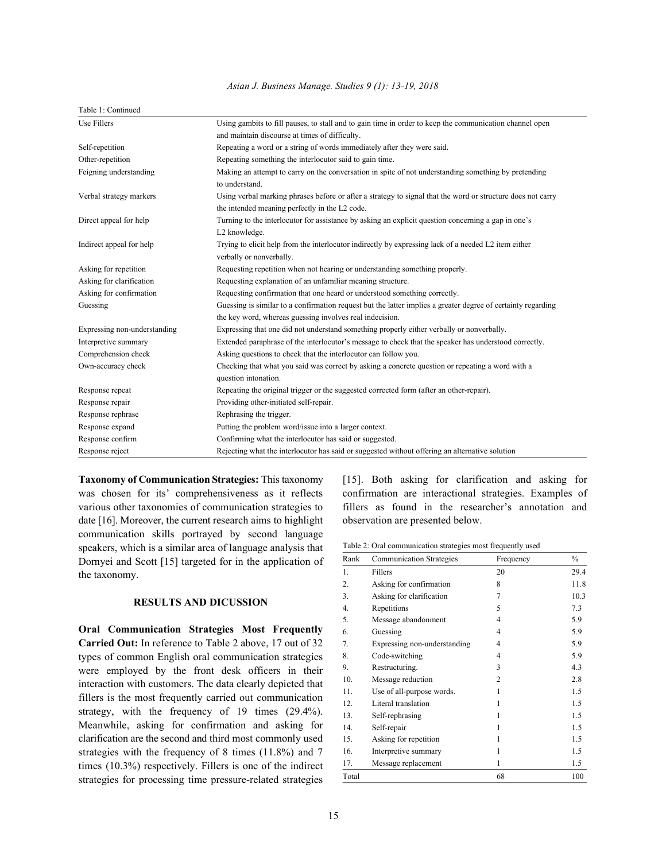| Table 1: Continued           |                                                                                                                                                               |
|------------------------------|---------------------------------------------------------------------------------------------------------------------------------------------------------------|
| <b>Use Fillers</b>           | Using gambits to fill pauses, to stall and to gain time in order to keep the communication channel open<br>and maintain discourse at times of difficulty.     |
| Self-repetition              | Repeating a word or a string of words immediately after they were said.                                                                                       |
| Other-repetition             | Repeating something the interlocutor said to gain time.                                                                                                       |
| Feigning understanding       | Making an attempt to carry on the conversation in spite of not understanding something by pretending<br>to understand.                                        |
| Verbal strategy markers      | Using verbal marking phrases before or after a strategy to signal that the word or structure does not carry<br>the intended meaning perfectly in the L2 code. |
| Direct appeal for help       | Turning to the interlocutor for assistance by asking an explicit question concerning a gap in one's<br>L2 knowledge.                                          |
| Indirect appeal for help     | Trying to elicit help from the interlocutor indirectly by expressing lack of a needed L2 item either<br>verbally or nonverbally.                              |
| Asking for repetition        | Requesting repetition when not hearing or understanding something properly.                                                                                   |
| Asking for clarification     | Requesting explanation of an unfamiliar meaning structure.                                                                                                    |
| Asking for confirmation      | Requesting confirmation that one heard or understood something correctly.                                                                                     |
| Guessing                     | Guessing is similar to a confirmation request but the latter implies a greater degree of certainty regarding                                                  |
|                              | the key word, whereas guessing involves real indecision.                                                                                                      |
| Expressing non-understanding | Expressing that one did not understand something properly either verbally or nonverbally.                                                                     |
| Interpretive summary         | Extended paraphrase of the interlocutor's message to check that the speaker has understood correctly.                                                         |
| Comprehension check          | Asking questions to cheek that the interlocutor can follow you.                                                                                               |
| Own-accuracy check           | Checking that what you said was correct by asking a concrete question or repeating a word with a                                                              |
|                              | question intonation.                                                                                                                                          |
| Response repeat              | Repeating the original trigger or the suggested corrected form (after an other-repair).                                                                       |
| Response repair              | Providing other-initiated self-repair.                                                                                                                        |
| Response rephrase            | Rephrasing the trigger.                                                                                                                                       |
| Response expand              | Putting the problem word/issue into a larger context.                                                                                                         |
| Response confirm             | Confirming what the interlocutor has said or suggested.                                                                                                       |
| Response reject              | Rejecting what the interlocutor has said or suggested without offering an alternative solution                                                                |

*Asian J. Business Manage. Studies 9 (1): 13-19, 2018*

was chosen for its' comprehensiveness as it reflects confirmation are interactional strategies. Examples of various other taxonomies of communication strategies to fillers as found in the researcher's annotation and date [16]. Moreover, the current research aims to highlight observation are presented below. communication skills portrayed by second language speakers, which is a similar area of language analysis that Dornyei and Scott [15] targeted for in the application of the taxonomy.

## **RESULTS AND DICUSSION**

**Oral Communication Strategies Most Frequently Carried Out:** In reference to Table 2 above, 17 out of 32 types of common English oral communication strategies were employed by the front desk officers in their interaction with customers. The data clearly depicted that fillers is the most frequently carried out communication strategy, with the frequency of 19 times (29.4%). Meanwhile, asking for confirmation and asking for clarification are the second and third most commonly used strategies with the frequency of 8 times (11.8%) and 7 times (10.3%) respectively. Fillers is one of the indirect strategies for processing time pressure-related strategies

**Taxonomy of Communication Strategies:** This taxonomy [15]. Both asking for clarification and asking for

Table 2: Oral communication strategies most frequently used

| Rank  | <b>Communication Strategies</b> | Frequency      | $\frac{0}{0}$ |
|-------|---------------------------------|----------------|---------------|
| 1.    | Fillers                         | 20             | 29.4          |
| 2.    | Asking for confirmation         | 8              | 11.8          |
| 3.    | Asking for clarification        | 7              | 10.3          |
| 4.    | Repetitions                     | 5              | 7.3           |
| 5.    | Message abandonment             | 4              | 5.9           |
| 6.    | Guessing                        | 4              | 5.9           |
| 7.    | Expressing non-understanding    | 4              | 5.9           |
| 8.    | Code-switching                  | 4              | 5.9           |
| 9.    | Restructuring.                  | 3              | 4.3           |
| 10.   | Message reduction               | $\mathfrak{D}$ | 2.8           |
| 11.   | Use of all-purpose words.       | 1              | 1.5           |
| 12.   | Literal translation             | 1              | 1.5           |
| 13.   | Self-rephrasing                 | 1              | 1.5           |
| 14.   | Self-repair                     | 1              | 1.5           |
| 15.   | Asking for repetition           | 1              | 1.5           |
| 16.   | Interpretive summary            | 1              | 1.5           |
| 17.   | Message replacement             | 1              | 1.5           |
| Total |                                 | 68             | 100           |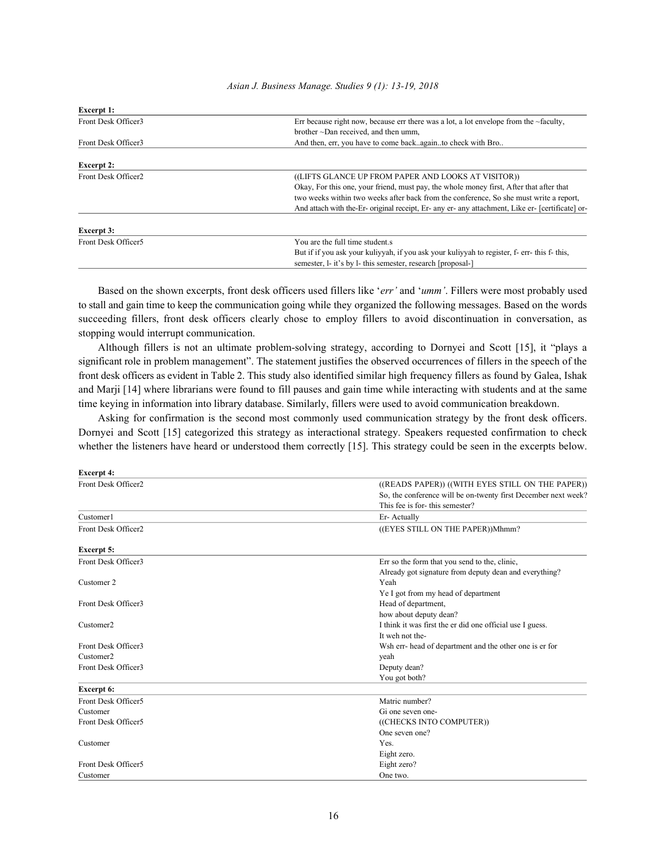| Asian J. Business Manage. Studies 9 (1): 13-19, 2018 |  |  |  |  |  |  |  |  |  |  |
|------------------------------------------------------|--|--|--|--|--|--|--|--|--|--|
|------------------------------------------------------|--|--|--|--|--|--|--|--|--|--|

| Excerpt 1:          |                                                                                                  |
|---------------------|--------------------------------------------------------------------------------------------------|
| Front Desk Officer3 | Err because right now, because err there was a lot, a lot envelope from the $\sim$ faculty,      |
|                     | brother $\sim$ Dan received, and then umm,                                                       |
| Front Desk Officer3 | And then, err, you have to come backagainto check with Bro                                       |
| <b>Excerpt 2:</b>   |                                                                                                  |
| Front Desk Officer2 | ((LIFTS GLANCE UP FROM PAPER AND LOOKS AT VISITOR))                                              |
|                     | Okay, For this one, your friend, must pay, the whole money first, After that after that          |
|                     | two weeks within two weeks after back from the conference. So she must write a report,           |
|                     | And attach with the-Er- original receipt, Er- any er- any attachment, Like er- [certificate] or- |
| <b>Excerpt 3:</b>   |                                                                                                  |
| Front Desk Officer5 | You are the full time student.s                                                                  |
|                     | But if if you ask your kuliyyah, if you ask your kuliyyah to register, f- err- this f- this,     |
|                     | semester, 1- it's by 1- this semester, research [proposal-]                                      |

Based on the shown excerpts, front desk officers used fillers like '*err'* and '*umm'*. Fillers were most probably used to stall and gain time to keep the communication going while they organized the following messages. Based on the words succeeding fillers, front desk officers clearly chose to employ fillers to avoid discontinuation in conversation, as stopping would interrupt communication.

Although fillers is not an ultimate problem-solving strategy, according to Dornyei and Scott [15], it "plays a significant role in problem management". The statement justifies the observed occurrences of fillers in the speech of the front desk officers as evident in Table 2. This study also identified similar high frequency fillers as found by Galea, Ishak and Marji [14] where librarians were found to fill pauses and gain time while interacting with students and at the same time keying in information into library database. Similarly, fillers were used to avoid communication breakdown.

Asking for confirmation is the second most commonly used communication strategy by the front desk officers. Dornyei and Scott [15] categorized this strategy as interactional strategy. Speakers requested confirmation to check whether the listeners have heard or understood them correctly [15]. This strategy could be seen in the excerpts below.

| ((READS PAPER)) ((WITH EYES STILL ON THE PAPER))               |
|----------------------------------------------------------------|
| So, the conference will be on-twenty first December next week? |
| This fee is for-this semester?                                 |
| Er-Actually                                                    |
| ((EYES STILL ON THE PAPER))Mhmm?                               |
|                                                                |
| Err so the form that you send to the, clinic,                  |
| Already got signature from deputy dean and everything?         |
| Yeah                                                           |
| Ye I got from my head of department                            |
| Head of department,                                            |
| how about deputy dean?                                         |
| I think it was first the er did one official use I guess.      |
| It weh not the-                                                |
| Wsh err- head of department and the other one is er for        |
| veah                                                           |
| Deputy dean?                                                   |
| You got both?                                                  |
|                                                                |
| Matric number?                                                 |
| Gi one seven one-                                              |
| ((CHECKS INTO COMPUTER))                                       |
| One seven one?                                                 |
| Yes.                                                           |
| Eight zero.                                                    |
| Eight zero?                                                    |
| One two.                                                       |
|                                                                |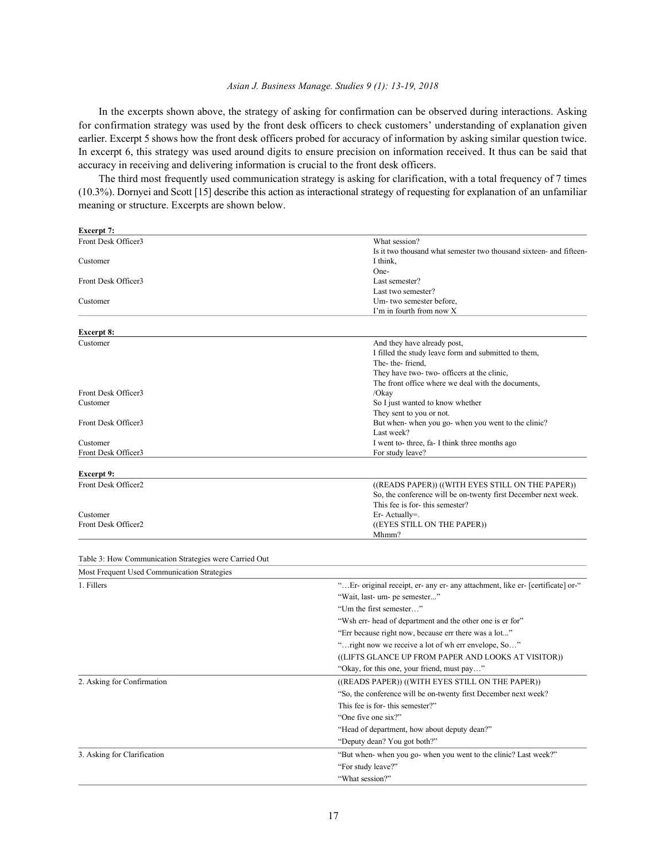# *Asian J. Business Manage. Studies 9 (1): 13-19, 2018*

In the excerpts shown above, the strategy of asking for confirmation can be observed during interactions. Asking for confirmation strategy was used by the front desk officers to check customers' understanding of explanation given earlier. Excerpt 5 shows how the front desk officers probed for accuracy of information by asking similar question twice. In excerpt 6, this strategy was used around digits to ensure precision on information received. It thus can be said that accuracy in receiving and delivering information is crucial to the front desk officers.

The third most frequently used communication strategy is asking for clarification, with a total frequency of 7 times (10.3%). Dornyei and Scott [15] describe this action as interactional strategy of requesting for explanation of an unfamiliar meaning or structure. Excerpts are shown below.

| Excerpt 7:                                             |                                                                                |
|--------------------------------------------------------|--------------------------------------------------------------------------------|
| Front Desk Officer3                                    | What session?                                                                  |
|                                                        | Is it two thousand what semester two thousand sixteen- and fifteen-            |
| Customer                                               | I think,                                                                       |
|                                                        | One-                                                                           |
| Front Desk Officer3                                    | Last semester?                                                                 |
|                                                        | Last two semester?                                                             |
| Customer                                               | Um- two semester before.<br>I'm in fourth from now X                           |
|                                                        |                                                                                |
| <b>Excerpt 8:</b>                                      |                                                                                |
| Customer                                               | And they have already post,                                                    |
|                                                        | I filled the study leave form and submitted to them,                           |
|                                                        | The-the-friend,                                                                |
|                                                        | They have two-two- officers at the clinic,                                     |
| Front Desk Officer3                                    | The front office where we deal with the documents,<br>/Okay                    |
| Customer                                               | So I just wanted to know whether                                               |
|                                                        | They sent to you or not.                                                       |
| Front Desk Officer3                                    | But when- when you go- when you went to the clinic?                            |
|                                                        | Last week?                                                                     |
| Customer                                               | I went to-three, fa-I think three months ago                                   |
| Front Desk Officer3                                    | For study leave?                                                               |
| Excerpt 9:                                             |                                                                                |
| Front Desk Officer2                                    | ((READS PAPER)) ((WITH EYES STILL ON THE PAPER))                               |
|                                                        | So, the conference will be on-twenty first December next week.                 |
|                                                        | This fee is for-this semester?                                                 |
| Customer                                               | Er- Actually=.                                                                 |
| Front Desk Officer2                                    | ((EYES STILL ON THE PAPER))                                                    |
|                                                        | Mhmm?                                                                          |
| Table 3: How Communication Strategies were Carried Out |                                                                                |
| Most Frequent Used Communication Strategies            |                                                                                |
| 1. Fillers                                             | "Er- original receipt, er- any er- any attachment, like er- [certificate] or-" |
|                                                        | "Wait, last- um- pe semester"                                                  |
|                                                        | "Um the first semester"                                                        |
|                                                        | "Wsh err- head of department and the other one is er for"                      |
|                                                        | "Err because right now, because err there was a lot"                           |
|                                                        |                                                                                |
|                                                        | " right now we receive a lot of wh err envelope, So"                           |
|                                                        | ((LIFTS GLANCE UP FROM PAPER AND LOOKS AT VISITOR))                            |
|                                                        | "Okay, for this one, your friend, must pay"                                    |
| 2. Asking for Confirmation                             | ((READS PAPER)) ((WITH EYES STILL ON THE PAPER))                               |
|                                                        | "So, the conference will be on-twenty first December next week?"               |
|                                                        | This fee is for-this semester?"                                                |
|                                                        | "One five one six?"                                                            |
|                                                        | "Head of department, how about deputy dean?"                                   |
|                                                        |                                                                                |
|                                                        | "Deputy dean? You got both?"                                                   |
| 3. Asking for Clarification                            | "But when- when you go- when you went to the clinic? Last week?"               |
|                                                        | "For study leave?"                                                             |
|                                                        | "What session?"                                                                |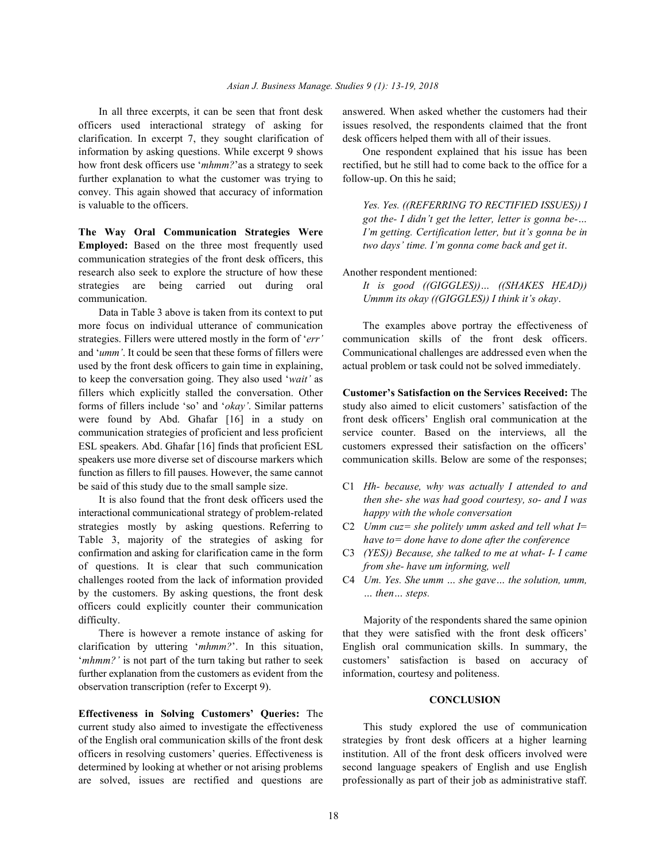officers used interactional strategy of asking for issues resolved, the respondents claimed that the front clarification. In excerpt 7, they sought clarification of desk officers helped them with all of their issues. information by asking questions. While excerpt 9 shows One respondent explained that his issue has been how front desk officers use '*mhmm*?' as a strategy to seek rectified, but he still had to come back to the office for a further explanation to what the customer was trying to follow-up. On this he said; convey. This again showed that accuracy of information is valuable to the officers. *Yes. Yes. ((REFERRING TO RECTIFIED ISSUES)) I*

**Employed:** Based on the three most frequently used *two days' time. I'm gonna come back and get it*. communication strategies of the front desk officers, this research also seek to explore the structure of how these Another respondent mentioned: strategies are being carried out during oral *It is good ((GIGGLES))… ((SHAKES HEAD))* communication. *Ummm its okay ((GIGGLES)) I think it's okay*.

Data in Table 3 above is taken from its context to put more focus on individual utterance of communication The examples above portray the effectiveness of strategies. Fillers were uttered mostly in the form of '*err'* communication skills of the front desk officers. and '*umm*'. It could be seen that these forms of fillers were Communicational challenges are addressed even when the used by the front desk officers to gain time in explaining, actual problem or task could not be solved immediately. to keep the conversation going. They also used '*wait'* as fillers which explicitly stalled the conversation. Other **Customer's Satisfaction on the Services Received:** The communication strategies of proficient and less proficient service counter. Based on the interviews, all the ESL speakers. Abd. Ghafar [16] finds that proficient ESL customers expressed their satisfaction on the officers' speakers use more diverse set of discourse markers which communication skills. Below are some of the responses; function as fillers to fill pauses. However, the same cannot be said of this study due to the small sample size. C1 *Hh- because, why was actually I attended to and*

interactional communicational strategy of problem-related *happy with the whole conversation* strategies mostly by asking questions. Referring to C2 *Umm cuz= she politely umm asked and tell what I=* Table 3, majority of the strategies of asking for *have to= done have to done after the conference* confirmation and asking for clarification came in the form C3 *(YES)) Because, she talked to me at what- I- I came* of questions. It is clear that such communication *from she- have um informing, well* challenges rooted from the lack of information provided C4 *Um. Yes. She umm … she gave… the solution, umm,* by the customers. By asking questions, the front desk *… then… steps.* officers could explicitly counter their communication difficulty. Majority of the respondents shared the same opinion

clarification by uttering '*mhmm?*'. In this situation, English oral communication skills. In summary, the '*mhmm?'* is not part of the turn taking but rather to seek customers' satisfaction is based on accuracy of further explanation from the customers as evident from the information, courtesy and politeness. observation transcription (refer to Excerpt 9).

**Effectiveness in Solving Customers' Queries:** The current study also aimed to investigate the effectiveness This study explored the use of communication

In all three excerpts, it can be seen that front desk answered. When asked whether the customers had their

**The Way Oral Communication Strategies Were** *I'm getting. Certification letter, but it's gonna be in got the- I didn't get the letter, letter is gonna be-…*

forms of fillers include 'so' and '*okay'*. Similar patterns study also aimed to elicit customers' satisfaction of the were found by Abd. Ghafar [16] in a study on front desk officers' English oral communication at the

- It is also found that the front desk officers used the *then she- she was had good courtesy, so- and I was*
	-
	-
	-

There is however a remote instance of asking for that they were satisfied with the front desk officers'

# **CONCLUSION**

of the English oral communication skills of the front desk strategies by front desk officers at a higher learning officers in resolving customers' queries. Effectiveness is institution. All of the front desk officers involved were determined by looking at whether or not arising problems second language speakers of English and use English are solved, issues are rectified and questions are professionally as part of their job as administrative staff.